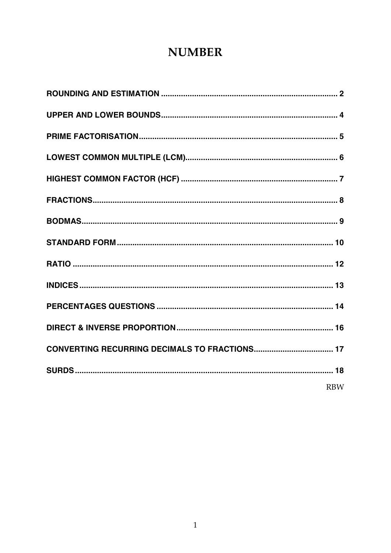# **NUMBER**

| <b>RBW</b> |
|------------|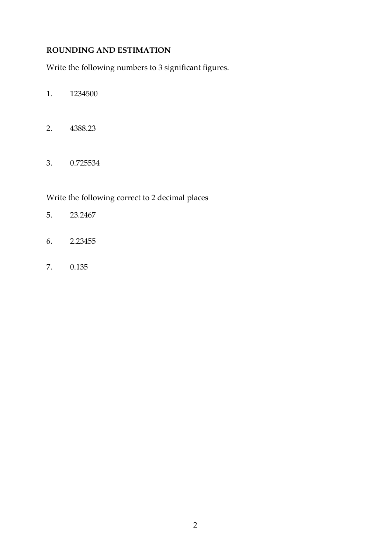## **ROUNDING AND ESTIMATION**

Write the following numbers to 3 significant figures.

- 1. 1234500
- 2. 4388.23
- 3. 0.725534

Write the following correct to 2 decimal places

- 5. 23.2467
- 6. 2.23455
- 7. 0.135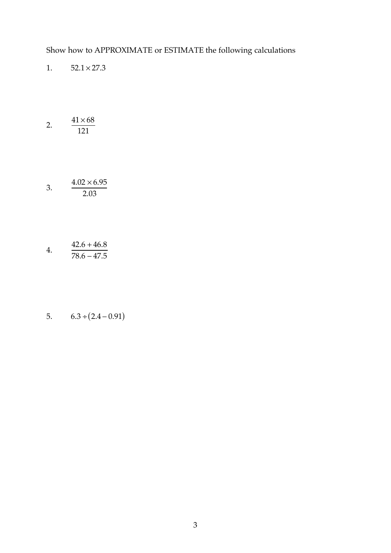Show how to APPROXIMATE or ESTIMATE the following calculations

- 1.  $52.1 \times 27.3$
- 2.  $41\times 68$ 121
- 3.  $4.02 \times 6.95$ 2.03
- 4. J,  $42.6 + 46.8$ 78.6 − 47.5
- 5.  $6.3 \div (2.4 0.91)$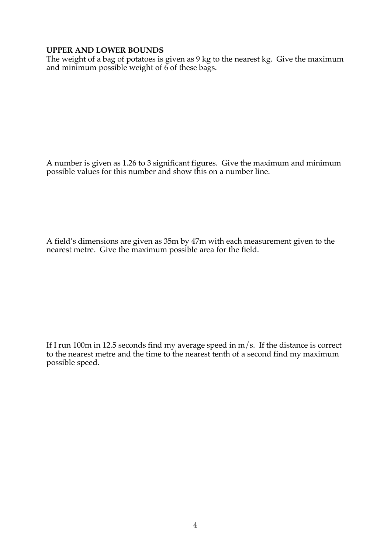#### **UPPER AND LOWER BOUNDS**

The weight of a bag of potatoes is given as 9 kg to the nearest kg. Give the maximum and minimum possible weight of  $\ddot{\rm 6}$  of these bags.

A number is given as 1.26 to 3 significant figures. Give the maximum and minimum possible values for this number and show this on a number line.

A field's dimensions are given as 35m by 47m with each measurement given to the nearest metre. Give the maximum possible area for the field.

If I run 100m in 12.5 seconds find my average speed in  $m/s$ . If the distance is correct to the nearest metre and the time to the nearest tenth of a second find my maximum possible speed.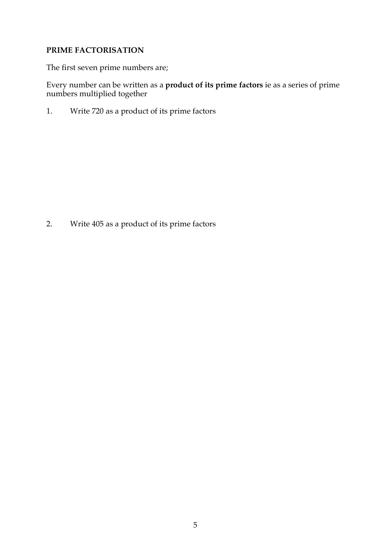#### **PRIME FACTORISATION**

The first seven prime numbers are;

Every number can be written as a **product of its prime factors** ie as a series of prime numbers multiplied together

1. Write 720 as a product of its prime factors

2. Write 405 as a product of its prime factors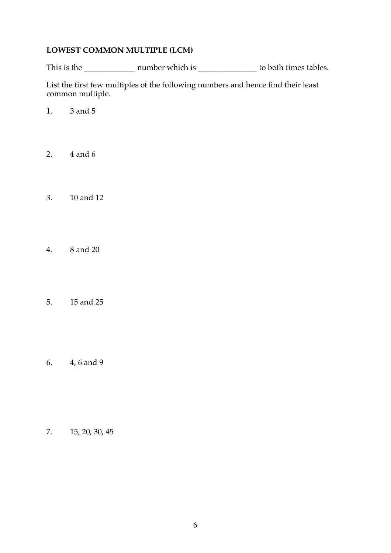#### **LOWEST COMMON MULTIPLE (LCM)**

This is the \_\_\_\_\_\_\_\_\_\_\_\_\_ number which is \_\_\_\_\_\_\_\_\_\_\_\_\_\_\_ to both times tables.

List the first few multiples of the following numbers and hence find their least common multiple.

- 1. 3 and 5
- 2. 4 and 6
- 3. 10 and 12
- 4. 8 and 20
- 5. 15 and 25
- 6. 4, 6 and 9

7. 15, 20, 30, 45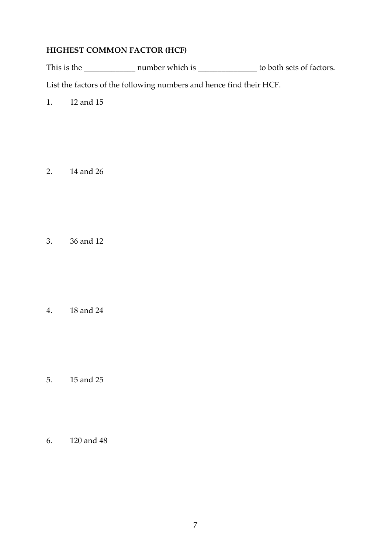### **HIGHEST COMMON FACTOR (HCF)**

This is the \_\_\_\_\_\_\_\_\_\_\_\_\_ number which is \_\_\_\_\_\_\_\_\_\_\_\_\_\_\_ to both sets of factors.

List the factors of the following numbers and hence find their HCF.

1. 12 and 15

2. 14 and 26

3. 36 and 12

4. 18 and 24

- 5. 15 and 25
- 6. 120 and 48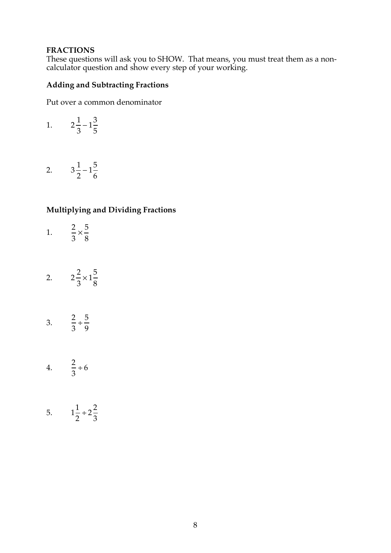#### **FRACTIONS**

These questions will ask you to SHOW. That means, you must treat them as a noncalculator question and show every step of your working.

## **Adding and Subtracting Fractions**

Put over a common denominator

1. 
$$
2\frac{1}{3} - 1\frac{3}{5}
$$

2.  $3\frac{1}{2}-1\frac{5}{6}$ 6

#### **Multiplying and Dividing Fractions**

- 1. Í 2 3  $\times\frac{5}{6}$ 8
- 2.  $2\frac{2}{2}$ 3  $\times 1\frac{5}{9}$ 8
- 3. Í 2 3  $\div \frac{5}{9}$ 9
- 4. Í 2 3 ÷ 6
- 5. 1 1 2  $\div 2\frac{2}{2}$ 3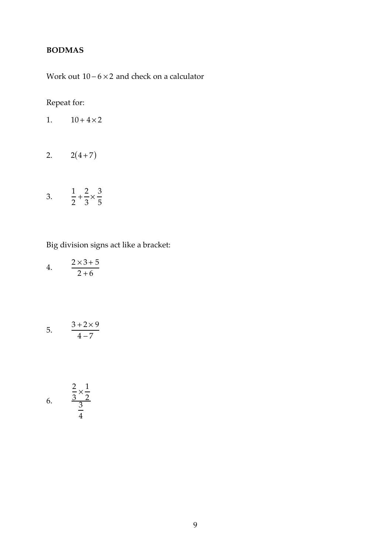## **BODMAS**

Work out  $10 - 6 \times 2$  and check on a calculator

## Repeat for:

- 2.  $2(4+7)$
- 3. Í 1 2  $+\frac{2}{2}$ 3  $\times \frac{3}{5}$ 5

Big division signs act like a bracket:

| 4. | $2\times3+5$ |
|----|--------------|
|    | $2 + 6$      |

$$
5. \qquad \frac{3+2\times 9}{4-7}
$$

6. 
$$
\frac{\frac{2}{3} \times \frac{1}{2}}{\frac{3}{4}}
$$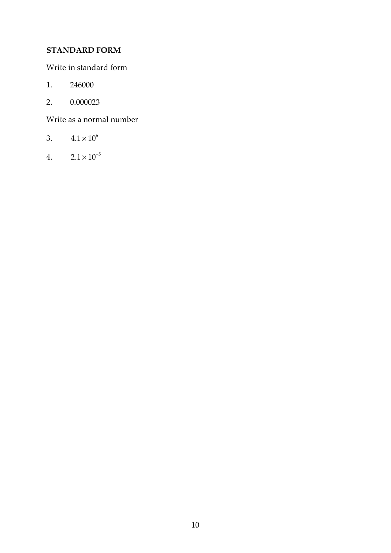## **STANDARD FORM**

Write in standard form

- 1. 246000
- 2. 0.000023

Write as a normal number

- 3.  $4.1 \times 10^{6}$
- 4.  $2.1 \times 10^{-5}$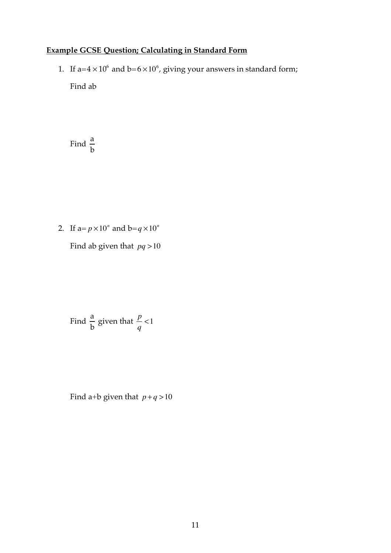## **Example GCSE Question; Calculating in Standard Form**

1. If  $a=4\times10^6$  and  $b=6\times10^6$ , giving your answers in standard form; Find ab

Find a b

2. If  $a=p\times10^n$  and  $b=q\times10^n$ 

Find ab given that *pq* >10

Find 
$$
\frac{a}{b}
$$
 given that  $\frac{p}{q} < 1$ 

Find a+b given that  $p+q>10$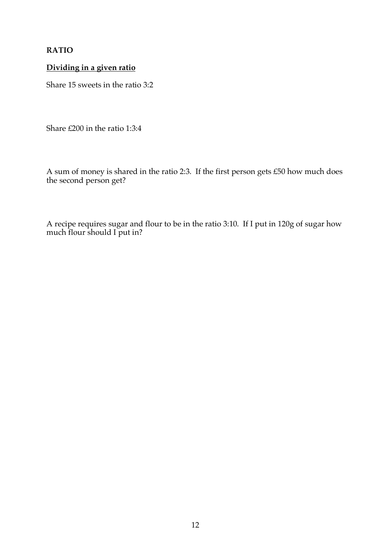#### **RATIO**

### **Dividing in a given ratio**

Share 15 sweets in the ratio 3:2

Share £200 in the ratio 1:3:4

A sum of money is shared in the ratio 2:3. If the first person gets £50 how much does the second person get?

A recipe requires sugar and flour to be in the ratio 3:10. If I put in 120g of sugar how much flour should I put in?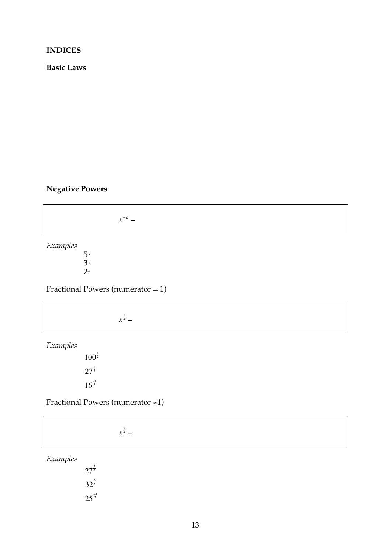#### **INDICES**

**Basic Laws**

#### **Negative Powers**

 $x^{-a} =$ 

*Examples*

 $5 - 2$ 3–3 2–4

Fractional Powers (numerator  $= 1$ )

 $x^{\frac{1}{a}} =$ 

*Examples*

 $100^{\frac{1}{2}}$  $27^{\frac{1}{3}}$  $16^{\frac{-1}{4}}$ 

Fractional Powers (numerator ≠1)

 $x^{\frac{b}{a}} =$ 

*Examples*

 $27^{\frac{2}{3}}$  $32^{\frac{3}{5}}$  $25^{\frac{3}{2}}$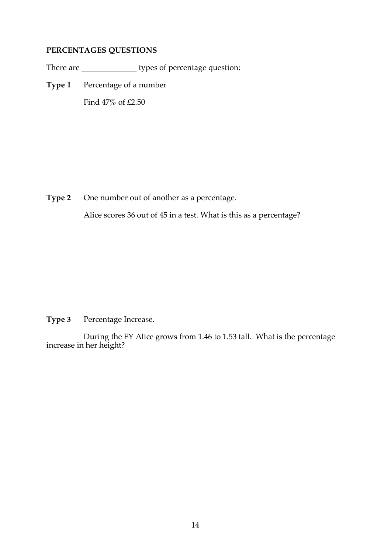### **PERCENTAGES QUESTIONS**

There are \_\_\_\_\_\_\_\_\_\_\_\_\_\_ types of percentage question:

**Type 1** Percentage of a number

Find 47% of £2.50

**Type 2** One number out of another as a percentage.

Alice scores 36 out of 45 in a test. What is this as a percentage?

**Type 3** Percentage Increase.

During the FY Alice grows from 1.46 to 1.53 tall. What is the percentage increase in her height?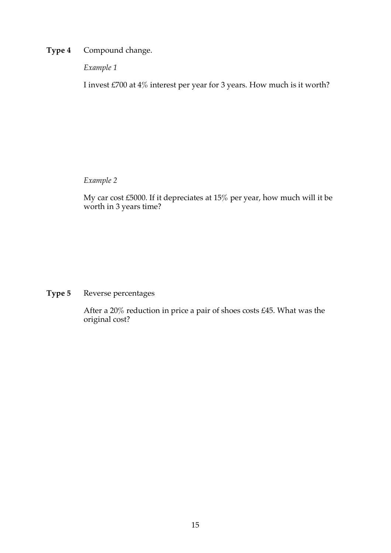**Type 4** Compound change.

*Example 1*

I invest £700 at 4% interest per year for 3 years. How much is it worth?

*Example 2*

My car cost £5000. If it depreciates at 15% per year, how much will it be worth in 3 years time?

**Type 5** Reverse percentages

After a 20% reduction in price a pair of shoes costs £45. What was the original cost?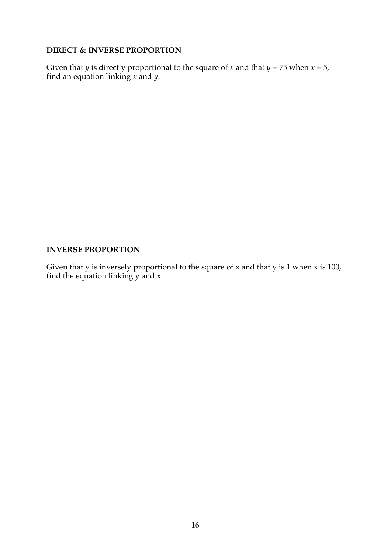#### **DIRECT & INVERSE PROPORTION**

Given that *y* is directly proportional to the square of *x* and that *y* = 75 when *x* = 5, find an equation linking *x* and *y*.

#### **INVERSE PROPORTION**

Given that  $y$  is inversely proportional to the square of  $x$  and that  $y$  is  $1$  when  $x$  is  $100$ , find the equation linking y and x.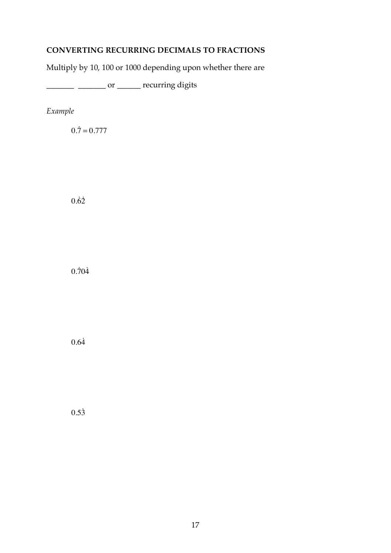## **CONVERTING RECURRING DECIMALS TO FRACTIONS**

Multiply by 10, 100 or 1000 depending upon whether there are

\_\_\_\_\_\_\_ \_\_\_\_\_\_\_ or \_\_\_\_\_\_ recurring digits

*Example*

 $0.\dot{7} = 0.777$ 

 $0.\dot{6}\dot{2}$ 

 $0.\overline{7}0\overline{4}$ 

 $0.64$ 

 $0.53$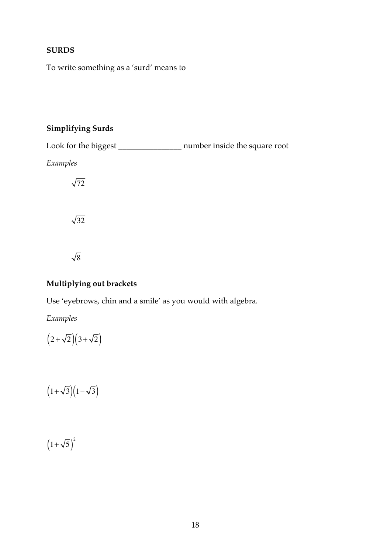### **SURDS**

To write something as a 'surd' means to

## **Simplifying Surds**

Look for the biggest \_\_\_\_\_\_\_\_\_\_\_\_\_\_\_\_ number inside the square root *Examples*  $\sqrt{72}$  $\sqrt{32}$  $\sqrt{8}$ 

## **Multiplying out brackets**

Use 'eyebrows, chin and a smile' as you would with algebra.

*Examples*

 $(2+\sqrt{2})(3+\sqrt{2})$ 

 $(1+\sqrt{3})(1-\sqrt{3})$ 

 $(1+\sqrt{5})^2$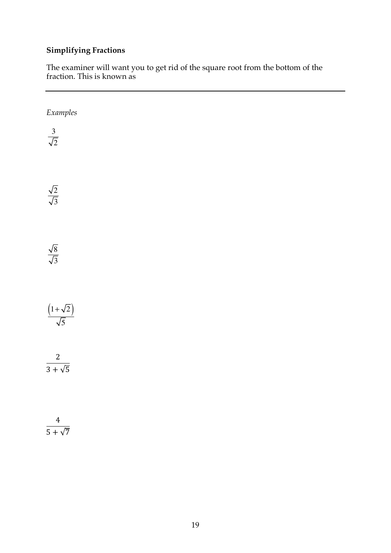## **Simplifying Fractions**

The examiner will want you to get rid of the square root from the bottom of the fraction. This is known as